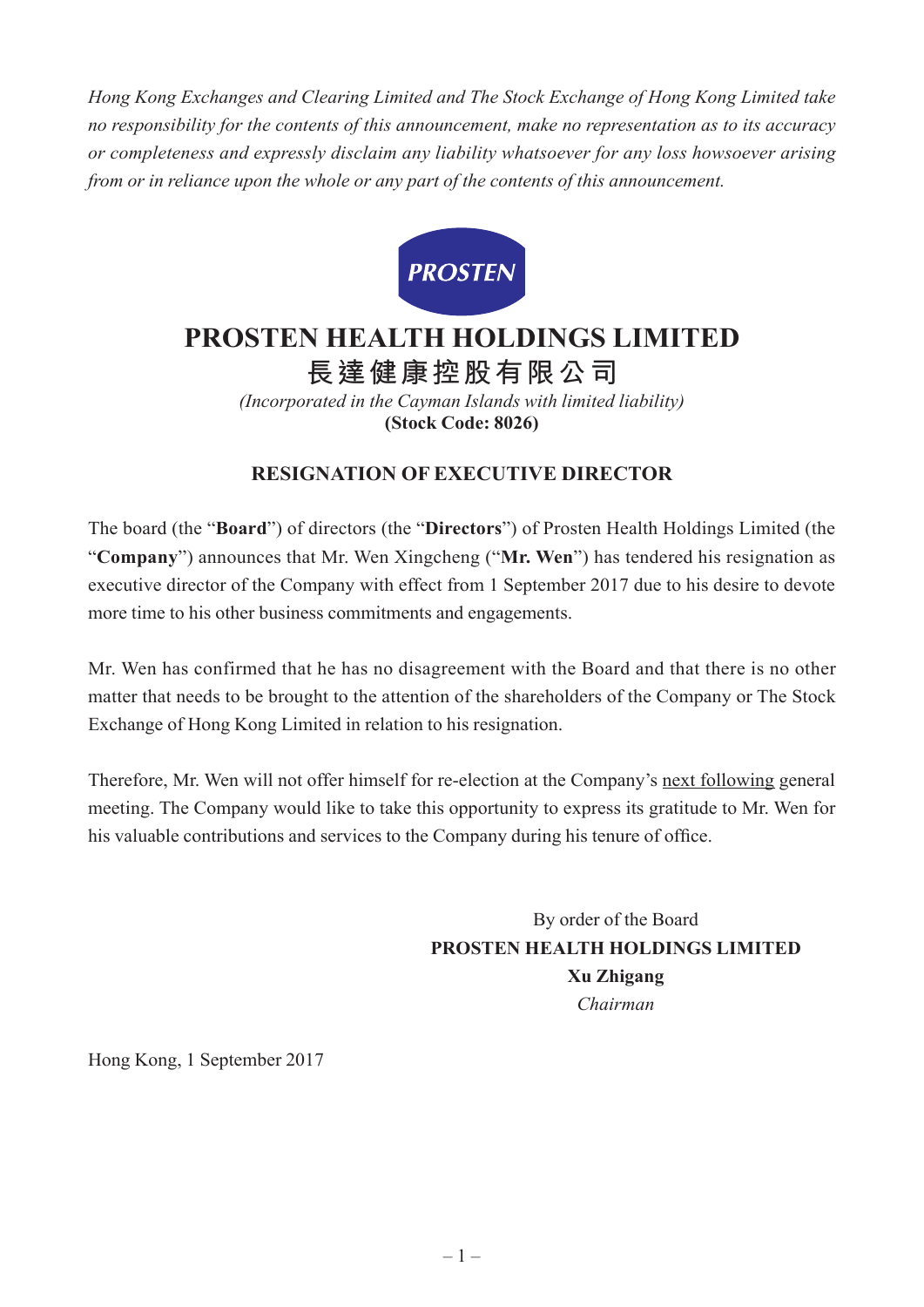*Hong Kong Exchanges and Clearing Limited and The Stock Exchange of Hong Kong Limited take no responsibility for the contents of this announcement, make no representation as to its accuracy or completeness and expressly disclaim any liability whatsoever for any loss howsoever arising from or in reliance upon the whole or any part of the contents of this announcement.*



## **PROSTEN HEALTH HOLDINGS LIMITED 長達健康控股有限公司**

*(Incorporated in the Cayman Islands with limited liability)* **(Stock Code: 8026)**

**RESIGNATION OF EXECUTIVE DIRECTOR**

The board (the "**Board**") of directors (the "**Directors**") of Prosten Health Holdings Limited (the "**Company**") announces that Mr. Wen Xingcheng ("**Mr. Wen**") has tendered his resignation as executive director of the Company with effect from 1 September 2017 due to his desire to devote more time to his other business commitments and engagements.

Mr. Wen has confirmed that he has no disagreement with the Board and that there is no other matter that needs to be brought to the attention of the shareholders of the Company or The Stock Exchange of Hong Kong Limited in relation to his resignation.

Therefore, Mr. Wen will not offer himself for re-election at the Company's next following general meeting. The Company would like to take this opportunity to express its gratitude to Mr. Wen for his valuable contributions and services to the Company during his tenure of office.

> By order of the Board **PROSTEN HEALTH HOLDINGS LIMITED Xu Zhigang** *Chairman*

Hong Kong, 1 September 2017